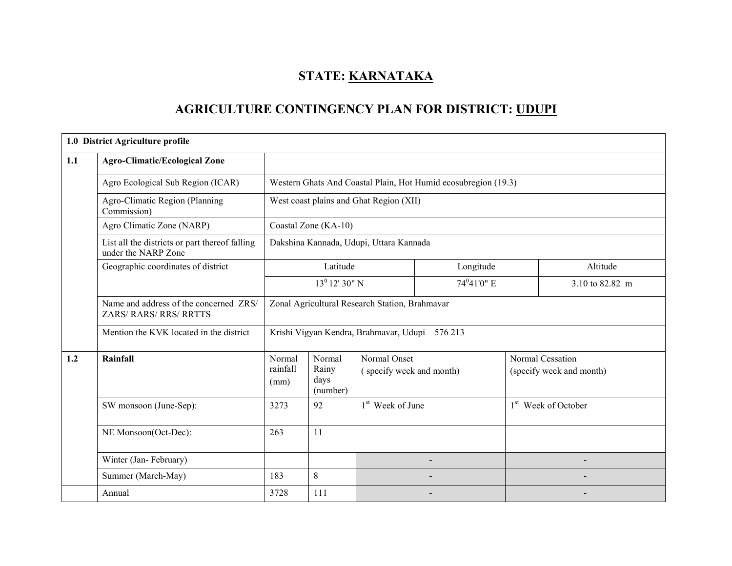# STATE: KARNATAKA

# AGRICULTURE CONTINGENCY PLAN FOR DISTRICT: UDUPI

|     | 1.0 District Agriculture profile                                        |                                                |                                             |                                                  |                                                                |  |                                              |  |
|-----|-------------------------------------------------------------------------|------------------------------------------------|---------------------------------------------|--------------------------------------------------|----------------------------------------------------------------|--|----------------------------------------------|--|
| 1.1 | <b>Agro-Climatic/Ecological Zone</b>                                    |                                                |                                             |                                                  |                                                                |  |                                              |  |
|     | Agro Ecological Sub Region (ICAR)                                       |                                                |                                             |                                                  | Western Ghats And Coastal Plain, Hot Humid ecosubregion (19.3) |  |                                              |  |
|     | Agro-Climatic Region (Planning<br>Commission)                           |                                                | West coast plains and Ghat Region (XII)     |                                                  |                                                                |  |                                              |  |
|     | Agro Climatic Zone (NARP)                                               |                                                | Coastal Zone (KA-10)                        |                                                  |                                                                |  |                                              |  |
|     | List all the districts or part thereof falling<br>under the NARP Zone   |                                                | Dakshina Kannada, Udupi, Uttara Kannada     |                                                  |                                                                |  |                                              |  |
|     | Geographic coordinates of district                                      |                                                | Latitude                                    |                                                  | Longitude                                                      |  | Altitude                                     |  |
|     |                                                                         |                                                | $13^0$ 12' 30" N<br>74 <sup>0</sup> 41'0" E |                                                  |                                                                |  | 3.10 to 82.82 m                              |  |
|     | Name and address of the concerned ZRS/<br><b>ZARS/ RARS/ RRS/ RRTTS</b> | Zonal Agricultural Research Station, Brahmavar |                                             |                                                  |                                                                |  |                                              |  |
|     | Mention the KVK located in the district                                 |                                                |                                             | Krishi Vigyan Kendra, Brahmavar, Udupi - 576 213 |                                                                |  |                                              |  |
| 1.2 | Rainfall                                                                | Normal<br>rainfall<br>(mm)                     | Normal<br>Rainy<br>days<br>(number)         | Normal Onset<br>(specify week and month)         |                                                                |  | Normal Cessation<br>(specify week and month) |  |
|     | SW monsoon (June-Sep):                                                  | 3273                                           | 92                                          | 1 <sup>st</sup> Week of June                     |                                                                |  | 1 <sup>st</sup> Week of October              |  |
|     | NE Monsoon(Oct-Dec):                                                    | 263                                            | 11                                          |                                                  |                                                                |  |                                              |  |
|     | Winter (Jan-February)                                                   |                                                |                                             |                                                  |                                                                |  |                                              |  |
|     | Summer (March-May)                                                      | 183                                            | 8                                           |                                                  |                                                                |  |                                              |  |
|     | Annual                                                                  | 3728                                           | 111                                         |                                                  |                                                                |  |                                              |  |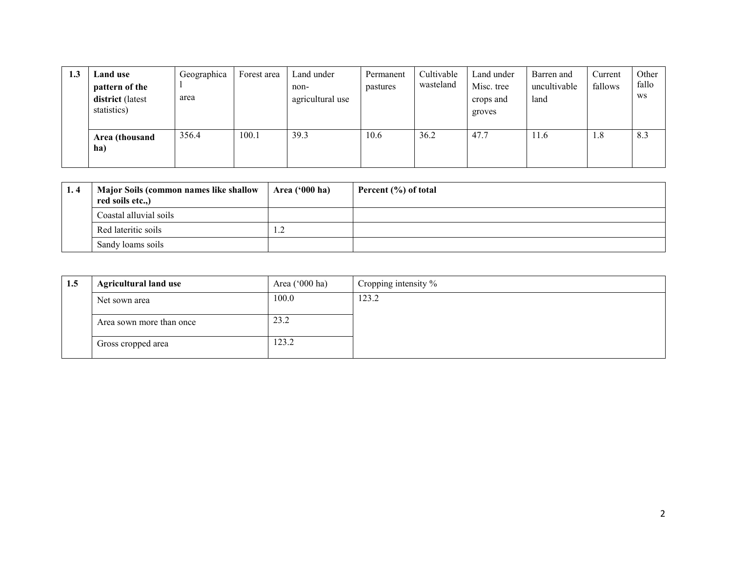| 1.3 | Land use<br>pattern of the<br><b>district</b> (latest<br>statistics) | Geographica<br>area | Forest area | Land under<br>non-<br>agricultural use | Permanent<br>pastures | Cultivable<br>wasteland | Land under<br>Misc. tree<br>crops and<br>groves | Barren and<br>uncultivable<br>land | Current<br>fallows | Other<br>fallo<br>WS |
|-----|----------------------------------------------------------------------|---------------------|-------------|----------------------------------------|-----------------------|-------------------------|-------------------------------------------------|------------------------------------|--------------------|----------------------|
|     | Area (thousand<br>ha)                                                | 356.4               | 100.1       | 39.3                                   | 10.6                  | 36.2                    | 47.7                                            | 11.6                               | 1.8                | 8.3                  |

| 1.4 | <b>Major Soils (common names like shallow</b><br>red soils etc.,) | Area $('000 ha)$ | Percent (%) of total |
|-----|-------------------------------------------------------------------|------------------|----------------------|
|     | Coastal alluvial soils                                            |                  |                      |
|     | Red lateritic soils                                               | ി<br>.           |                      |
|     | Sandy loams soils                                                 |                  |                      |

| 1.5 | <b>Agricultural land use</b> | Area $(^{\circ}000$ ha) | Cropping intensity % |
|-----|------------------------------|-------------------------|----------------------|
|     | Net sown area                | 100.0                   | 123.2                |
|     | Area sown more than once     | 23.2                    |                      |
|     | Gross cropped area           | 123.2                   |                      |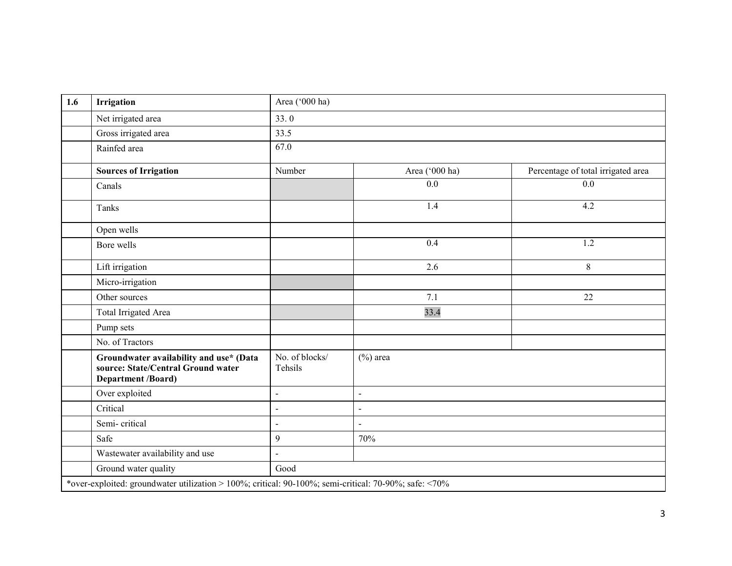| 1.6 | <b>Irrigation</b>                                                                                     | Area ('000 ha)            |                |                                    |
|-----|-------------------------------------------------------------------------------------------------------|---------------------------|----------------|------------------------------------|
|     | Net irrigated area                                                                                    | 33.0                      |                |                                    |
|     | Gross irrigated area                                                                                  | 33.5                      |                |                                    |
|     | Rainfed area                                                                                          | 67.0                      |                |                                    |
|     | <b>Sources of Irrigation</b>                                                                          | Number                    | Area ('000 ha) | Percentage of total irrigated area |
|     | Canals                                                                                                |                           | 0.0            | 0.0                                |
|     | Tanks                                                                                                 |                           | 1.4            | 4.2                                |
|     | Open wells                                                                                            |                           |                |                                    |
|     | Bore wells                                                                                            |                           | 0.4            | 1.2                                |
|     | Lift irrigation                                                                                       |                           | 2.6            | 8                                  |
|     | Micro-irrigation                                                                                      |                           |                |                                    |
|     | Other sources                                                                                         |                           | 7.1            | 22                                 |
|     | Total Irrigated Area                                                                                  |                           | 33.4           |                                    |
|     | Pump sets                                                                                             |                           |                |                                    |
|     | No. of Tractors                                                                                       |                           |                |                                    |
|     | Groundwater availability and use* (Data<br>source: State/Central Ground water<br>Department /Board)   | No. of blocks/<br>Tehsils | $(\%)$ area    |                                    |
|     | Over exploited                                                                                        | $\blacksquare$            | $\blacksquare$ |                                    |
|     | Critical                                                                                              | $\overline{\phantom{a}}$  | $\blacksquare$ |                                    |
|     | Semi-critical                                                                                         | $\overline{\phantom{a}}$  | $\sim$         |                                    |
|     | Safe                                                                                                  | $\mathfrak{g}$            | 70%            |                                    |
|     | Wastewater availability and use                                                                       | $\overline{a}$            |                |                                    |
|     | Ground water quality                                                                                  | Good                      |                |                                    |
|     | *over-exploited: groundwater utilization > 100%; critical: 90-100%; semi-critical: 70-90%; safe: <70% |                           |                |                                    |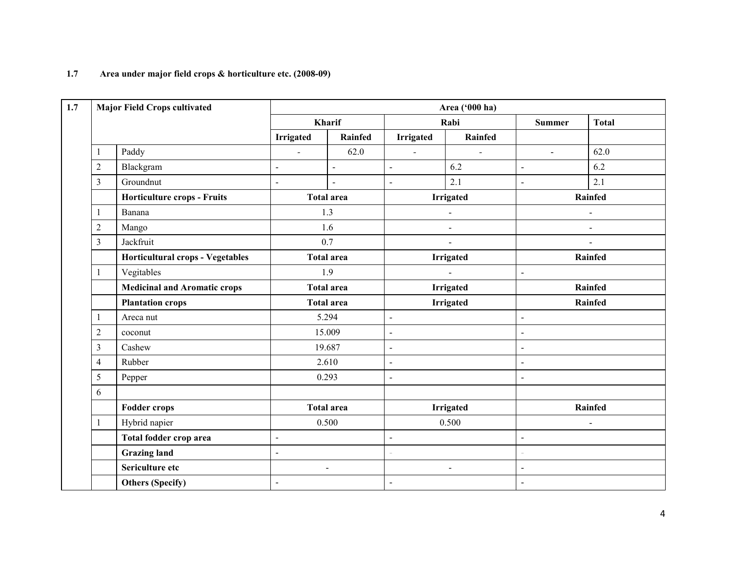# 1.7 Area under major field crops & horticulture etc. (2008-09)

|                  | <b>Major Field Crops cultivated</b> |                          |                   |                          | Area ('000 ha)               |                |                          |
|------------------|-------------------------------------|--------------------------|-------------------|--------------------------|------------------------------|----------------|--------------------------|
|                  |                                     |                          | Kharif            |                          | Rabi                         | <b>Summer</b>  | <b>Total</b>             |
|                  |                                     | <b>Irrigated</b>         | Rainfed           | <b>Irrigated</b>         | Rainfed                      |                |                          |
| $\mathbf{1}$     | Paddy                               | $\blacksquare$           | 62.0              | $\omega$                 | $\blacksquare$               | $\mathbf{r}$   | 62.0                     |
| $\overline{2}$   | Blackgram                           | $\blacksquare$           | $\overline{a}$    | $\blacksquare$           | 6.2                          | $\blacksquare$ | 6.2                      |
| $\mathfrak{Z}$   | Groundnut                           | $\blacksquare$           | $\overline{a}$    | $\blacksquare$           | 2.1                          | $\blacksquare$ | 2.1                      |
|                  | <b>Horticulture crops - Fruits</b>  |                          | <b>Total area</b> |                          | <b>Irrigated</b>             |                | Rainfed                  |
| $\mathbf{1}$     | Banana                              |                          | 1.3               |                          | $\blacksquare$               |                | $\blacksquare$           |
| $\overline{2}$   | Mango                               |                          | 1.6               |                          | $\qquad \qquad \blacksquare$ |                | $\overline{\phantom{a}}$ |
| $\mathfrak{Z}$   | Jackfruit                           | 0.7                      |                   | $\blacksquare$           |                              |                | $\blacksquare$           |
|                  | Horticultural crops - Vegetables    |                          | <b>Total area</b> |                          | Irrigated                    |                | Rainfed                  |
| $\mathbf{1}$     | Vegitables                          | 1.9                      |                   | ÷.                       |                              | $\overline{a}$ |                          |
|                  | <b>Medicinal and Aromatic crops</b> |                          | <b>Total area</b> |                          | <b>Irrigated</b>             |                | Rainfed                  |
|                  | <b>Plantation crops</b>             |                          | <b>Total area</b> | <b>Irrigated</b>         |                              | Rainfed        |                          |
| $\mathbf{1}$     | Areca nut                           |                          | 5.294             | $\blacksquare$           |                              | $\overline{a}$ |                          |
| $\boldsymbol{2}$ | coconut                             |                          | 15.009            | $\blacksquare$           |                              | $\overline{a}$ |                          |
| $\overline{3}$   | Cashew                              |                          | 19.687            | $\hat{\mathbf{r}}$       |                              | $\overline{a}$ |                          |
| $\overline{4}$   | Rubber                              |                          | 2.610             | $\overline{\phantom{a}}$ |                              | $\blacksquare$ |                          |
| 5                | Pepper                              |                          | 0.293             | $\overline{\phantom{a}}$ |                              | $\overline{a}$ |                          |
| 6                |                                     |                          |                   |                          |                              |                |                          |
|                  | <b>Fodder crops</b>                 |                          | <b>Total area</b> |                          | <b>Irrigated</b>             |                | Rainfed                  |
| $\mathbf{1}$     | Hybrid napier                       |                          | 0.500             |                          | 0.500                        |                | $\overline{a}$           |
|                  | Total fodder crop area              | $\overline{\phantom{a}}$ |                   |                          |                              | $\overline{a}$ |                          |
|                  | <b>Grazing land</b>                 | $\blacksquare$           |                   |                          |                              |                |                          |
|                  | Sericulture etc                     |                          | $\sim$            |                          | $\blacksquare$               | $\overline{a}$ |                          |
|                  | <b>Others (Specify)</b>             | $\blacksquare$           |                   | $\blacksquare$           |                              | $\blacksquare$ |                          |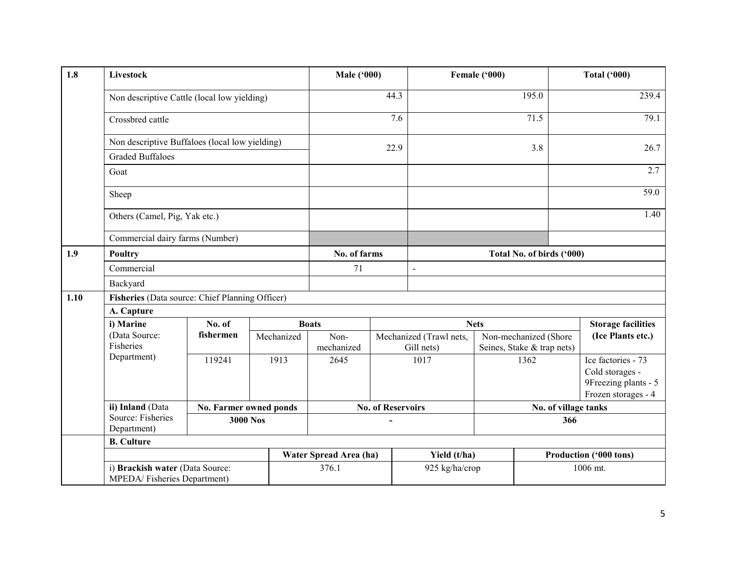| 1.8  | Livestock                                                      |                        |            | <b>Male ('000)</b>                        |                          |                         | Female ('000) |                                            | <b>Total ('000)</b>                                                                  |
|------|----------------------------------------------------------------|------------------------|------------|-------------------------------------------|--------------------------|-------------------------|---------------|--------------------------------------------|--------------------------------------------------------------------------------------|
|      | Non descriptive Cattle (local low yielding)                    |                        |            |                                           | 44.3                     |                         |               | 195.0                                      | 239.4                                                                                |
|      | Crossbred cattle                                               |                        |            |                                           | 7.6                      |                         |               | 71.5                                       | 79.1                                                                                 |
|      | Non descriptive Buffaloes (local low yielding)                 |                        |            |                                           | 22.9                     |                         |               | 3.8                                        | 26.7                                                                                 |
|      | <b>Graded Buffaloes</b>                                        |                        |            |                                           |                          |                         |               |                                            |                                                                                      |
|      | Goat                                                           |                        |            |                                           |                          |                         |               |                                            | 2.7                                                                                  |
|      | Sheep                                                          |                        |            |                                           |                          |                         |               |                                            | 59.0                                                                                 |
|      | Others (Camel, Pig, Yak etc.)                                  |                        |            |                                           |                          |                         |               |                                            | 1.40                                                                                 |
|      | Commercial dairy farms (Number)                                |                        |            |                                           |                          |                         |               |                                            |                                                                                      |
| 1.9  | <b>Poultry</b>                                                 |                        |            | No. of farms<br>Total No. of birds ('000) |                          |                         |               |                                            |                                                                                      |
|      | Commercial                                                     |                        |            | 71                                        |                          | $\blacksquare$          |               |                                            |                                                                                      |
|      | Backyard                                                       |                        |            |                                           |                          |                         |               |                                            |                                                                                      |
| 1.10 | Fisheries (Data source: Chief Planning Officer)                |                        |            |                                           |                          |                         |               |                                            |                                                                                      |
|      | A. Capture                                                     |                        |            |                                           |                          |                         |               |                                            |                                                                                      |
|      | i) Marine                                                      | No. of                 |            | <b>Boats</b>                              |                          |                         | <b>Nets</b>   |                                            | <b>Storage facilities</b>                                                            |
|      | (Data Source:                                                  | fishermen              | Mechanized | Non-                                      |                          | Mechanized (Trawl nets, |               | (Ice Plants etc.)<br>Non-mechanized (Shore |                                                                                      |
|      | Fisheries                                                      |                        |            | mechanized                                |                          | Gill nets)              |               | Seines, Stake & trap nets)                 |                                                                                      |
|      | Department)                                                    | 119241                 | 1913       | 2645                                      |                          | 1017                    | 1362          |                                            | Ice factories - 73<br>Cold storages -<br>9Freezing plants - 5<br>Frozen storages - 4 |
|      | ii) Inland (Data                                               | No. Farmer owned ponds |            |                                           | <b>No. of Reservoirs</b> |                         |               | No. of village tanks                       |                                                                                      |
|      | Source: Fisheries<br><b>3000 Nos</b><br>Department)            |                        | 366        |                                           |                          |                         |               |                                            |                                                                                      |
|      | <b>B.</b> Culture                                              |                        |            |                                           |                          |                         |               |                                            |                                                                                      |
|      |                                                                |                        |            | Water Spread Area (ha)                    |                          | Yield (t/ha)            |               |                                            | Production ('000 tons)                                                               |
|      | i) Brackish water (Data Source:<br>MPEDA/Fisheries Department) |                        |            | 376.1                                     | 925 kg/ha/crop           |                         |               |                                            | 1006 mt.                                                                             |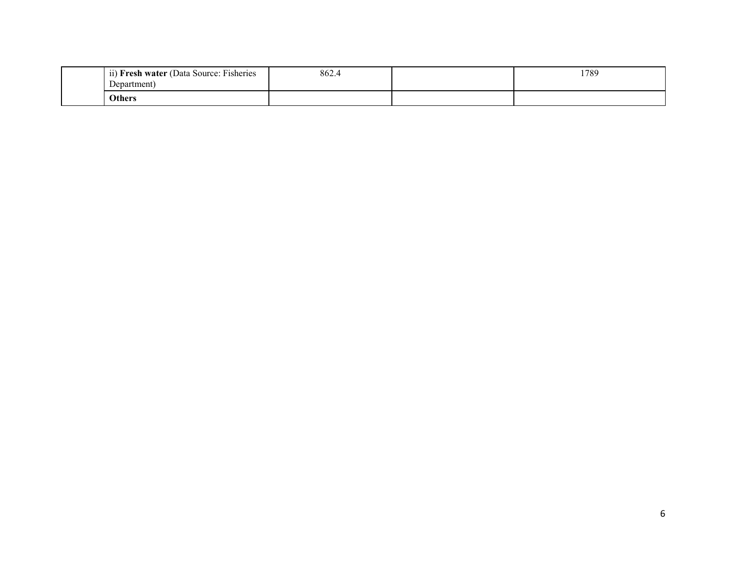| $\mathbf{r}$<br>$\cdots$<br>$\sim$<br><b>Fresh water</b> (Data Source: Fisheries<br>11)<br>Jepartment<br>יוסע. | 862.4 | 1789 |
|----------------------------------------------------------------------------------------------------------------|-------|------|
| Others                                                                                                         |       |      |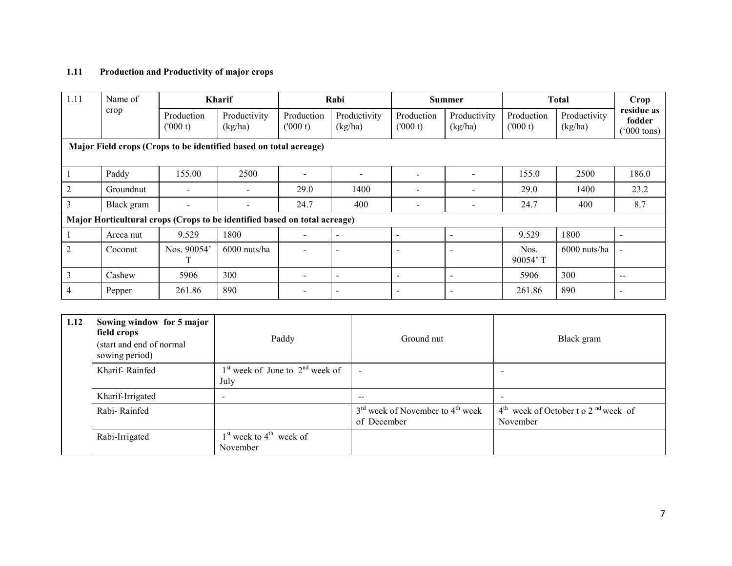#### 1.11 Production and Productivity of major crops

| 1.11                                                              | Name of    | <b>Kharif</b>         |                                                                           |                          | Rabi                     |                          | <b>Summer</b>            |                       | <b>Total</b>            |                                              |
|-------------------------------------------------------------------|------------|-----------------------|---------------------------------------------------------------------------|--------------------------|--------------------------|--------------------------|--------------------------|-----------------------|-------------------------|----------------------------------------------|
|                                                                   | crop       | Production<br>(000 t) | Productivity<br>(kg/ha)                                                   | Production<br>(000 t)    | Productivity<br>(kg/ha)  | Production<br>(000 t)    | Productivity<br>(kg/ha)  | Production<br>(000 t) | Productivity<br>(kg/ha) | residue as<br>fodder<br>$(000 \text{ tons})$ |
| Major Field crops (Crops to be identified based on total acreage) |            |                       |                                                                           |                          |                          |                          |                          |                       |                         |                                              |
|                                                                   | Paddy      | 155.00                | 2500                                                                      |                          |                          |                          |                          | 155.0                 | 2500                    | 186.0                                        |
| $\overline{2}$                                                    | Groundnut  | -                     |                                                                           | 29.0                     | 1400                     | $\overline{\phantom{a}}$ |                          | 29.0                  | 1400                    | 23.2                                         |
| 3                                                                 | Black gram |                       |                                                                           | 24.7                     | 400                      |                          |                          | 24.7                  | 400                     | 8.7                                          |
|                                                                   |            |                       | Major Horticultural crops (Crops to be identified based on total acreage) |                          |                          |                          |                          |                       |                         |                                              |
|                                                                   | Areca nut  | 9.529                 | 1800                                                                      | $\overline{\phantom{0}}$ | $\blacksquare$           | $\overline{\phantom{0}}$ |                          | 9.529                 | 1800                    |                                              |
| $\overline{2}$                                                    | Coconut    | Nos. 90054'           | 6000 nuts/ha                                                              |                          | $\overline{\phantom{a}}$ | $\overline{\phantom{a}}$ | $\overline{\phantom{a}}$ | Nos.<br>90054'T       | $6000$ nuts/ha          | $\blacksquare$                               |
| $\overline{3}$                                                    | Cashew     | 5906                  | 300                                                                       |                          | $\overline{\phantom{a}}$ | $\overline{\phantom{a}}$ | $\overline{\phantom{a}}$ | 5906                  | 300                     | $- -$                                        |
| 4                                                                 | Pepper     | 261.86                | 890                                                                       |                          | $\overline{\phantom{0}}$ | $\overline{\phantom{a}}$ | $\overline{\phantom{a}}$ | 261.86                | 890                     | $\overline{\phantom{a}}$                     |

| 1.12 | Sowing window for 5 major<br>field crops<br>(start and end of normal<br>sowing period) | Paddy                                       | Ground nut                                          | Black gram                                                    |
|------|----------------------------------------------------------------------------------------|---------------------------------------------|-----------------------------------------------------|---------------------------------------------------------------|
|      | Kharif-Rainfed                                                                         | $1st$ week of June to $2nd$ week of<br>July | $\overline{\phantom{a}}$                            | $\overline{\phantom{a}}$                                      |
|      | Kharif-Irrigated                                                                       | $\overline{\phantom{0}}$                    | $- -$                                               | $\overline{\phantom{a}}$                                      |
|      | Rabi-Rainfed                                                                           |                                             | $3rd$ week of November to $4th$ week<br>of December | $4th$ week of October t o 2 <sup>nd</sup> week of<br>November |
|      | Rabi-Irrigated                                                                         | $1st$ week to $4th$ week of<br>November     |                                                     |                                                               |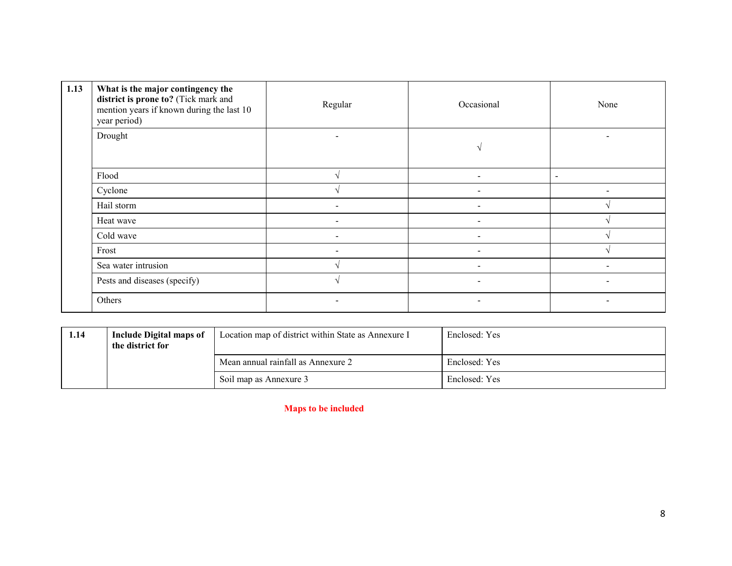| 1.13 | What is the major contingency the<br>district is prone to? (Tick mark and<br>mention years if known during the last 10<br>year period) | Regular                  | Occasional               | None                     |
|------|----------------------------------------------------------------------------------------------------------------------------------------|--------------------------|--------------------------|--------------------------|
|      | Drought                                                                                                                                | $\overline{\phantom{a}}$ |                          |                          |
|      | Flood                                                                                                                                  |                          |                          | $\overline{\phantom{a}}$ |
|      | Cyclone                                                                                                                                |                          |                          |                          |
|      | Hail storm                                                                                                                             |                          | $\overline{\phantom{0}}$ |                          |
|      | Heat wave                                                                                                                              |                          |                          |                          |
|      | Cold wave                                                                                                                              |                          | -                        |                          |
|      | Frost                                                                                                                                  |                          |                          |                          |
|      | Sea water intrusion                                                                                                                    |                          | $\overline{\phantom{a}}$ | -                        |
|      | Pests and diseases (specify)                                                                                                           |                          |                          |                          |
|      | Others                                                                                                                                 |                          |                          |                          |

| 1.14 | Include Digital maps of<br>the district for | Location map of district within State as Annexure I | Enclosed: Yes |
|------|---------------------------------------------|-----------------------------------------------------|---------------|
|      |                                             | Mean annual rainfall as Annexure 2                  | Enclosed: Yes |
|      |                                             | Soil map as Annexure 3                              | Enclosed: Yes |

Maps to be included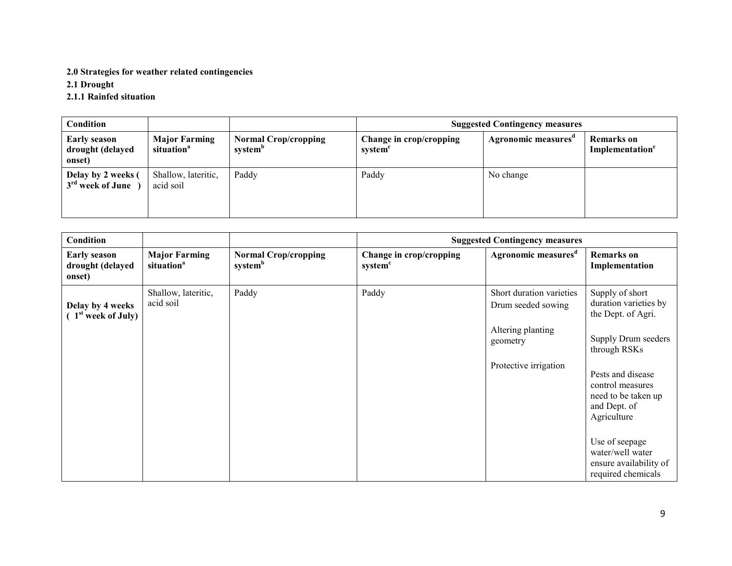# 2.0 Strategies for weather related contingencies

2.1 Drought

# 2.1.1 Rainfed situation

| <b>Condition</b>                                  |                                                |                                                    | <b>Suggested Contingency measures</b>          |                                 |                                                  |
|---------------------------------------------------|------------------------------------------------|----------------------------------------------------|------------------------------------------------|---------------------------------|--------------------------------------------------|
| <b>Early season</b><br>drought (delayed<br>onset) | <b>Major Farming</b><br>situation <sup>a</sup> | <b>Normal Crop/cropping</b><br>system <sup>"</sup> | Change in crop/cropping<br>system <sup>'</sup> | Agronomic measures <sup>a</sup> | <b>Remarks</b> on<br>Implementation <sup>e</sup> |
| Delay by 2 weeks (<br>$3rd$ week of June          | Shallow, lateritic,<br>acid soil               | Paddy                                              | Paddy                                          | No change                       |                                                  |

| Condition                                          |                                                |                                                    | <b>Suggested Contingency measures</b>          |                                                |                                                                                             |  |
|----------------------------------------------------|------------------------------------------------|----------------------------------------------------|------------------------------------------------|------------------------------------------------|---------------------------------------------------------------------------------------------|--|
| <b>Early season</b><br>drought (delayed<br>onset)  | <b>Major Farming</b><br>situation <sup>a</sup> | <b>Normal Crop/cropping</b><br>system <sup>b</sup> | Change in crop/cropping<br>system <sup>c</sup> | Agronomic measures <sup>d</sup>                | <b>Remarks</b> on<br>Implementation                                                         |  |
| Delay by 4 weeks<br>(1 <sup>st</sup> week of July) | Shallow, lateritic,<br>acid soil               | Paddy                                              | Paddy                                          | Short duration varieties<br>Drum seeded sowing | Supply of short<br>duration varieties by<br>the Dept. of Agri.                              |  |
|                                                    |                                                |                                                    |                                                | Altering planting<br>geometry                  | Supply Drum seeders<br>through RSKs                                                         |  |
|                                                    |                                                |                                                    |                                                | Protective irrigation                          | Pests and disease<br>control measures<br>need to be taken up<br>and Dept. of<br>Agriculture |  |
|                                                    |                                                |                                                    |                                                |                                                | Use of seepage<br>water/well water<br>ensure availability of<br>required chemicals          |  |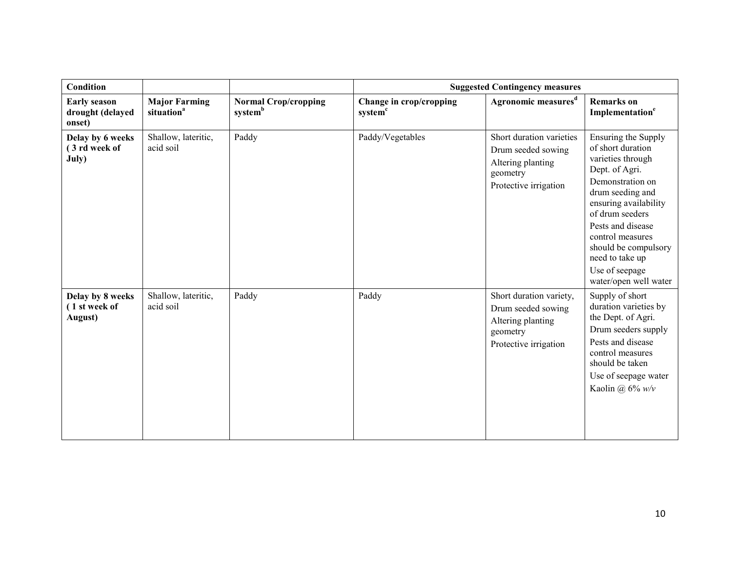| <b>Condition</b>                                  |                                                |                                                    | <b>Suggested Contingency measures</b>          |                                                                                                          |                                                                                                                                                                                                                                                                                                    |  |
|---------------------------------------------------|------------------------------------------------|----------------------------------------------------|------------------------------------------------|----------------------------------------------------------------------------------------------------------|----------------------------------------------------------------------------------------------------------------------------------------------------------------------------------------------------------------------------------------------------------------------------------------------------|--|
| <b>Early season</b><br>drought (delayed<br>onset) | <b>Major Farming</b><br>situation <sup>a</sup> | <b>Normal Crop/cropping</b><br>system <sup>b</sup> | Change in crop/cropping<br>system <sup>c</sup> | Agronomic measures <sup>d</sup>                                                                          | <b>Remarks</b> on<br>Implementation <sup>e</sup>                                                                                                                                                                                                                                                   |  |
| Delay by 6 weeks<br>(3 rd week of<br>July)        | Shallow, lateritic,<br>acid soil               | Paddy                                              | Paddy/Vegetables                               | Short duration varieties<br>Drum seeded sowing<br>Altering planting<br>geometry<br>Protective irrigation | Ensuring the Supply<br>of short duration<br>varieties through<br>Dept. of Agri.<br>Demonstration on<br>drum seeding and<br>ensuring availability<br>of drum seeders<br>Pests and disease<br>control measures<br>should be compulsory<br>need to take up<br>Use of seepage<br>water/open well water |  |
| Delay by 8 weeks<br>(1 st week of<br>August)      | Shallow, lateritic,<br>acid soil               | Paddy                                              | Paddy                                          | Short duration variety,<br>Drum seeded sowing<br>Altering planting<br>geometry<br>Protective irrigation  | Supply of short<br>duration varieties by<br>the Dept. of Agri.<br>Drum seeders supply<br>Pests and disease<br>control measures<br>should be taken<br>Use of seepage water<br>Kaolin @ $6\%$ w/v                                                                                                    |  |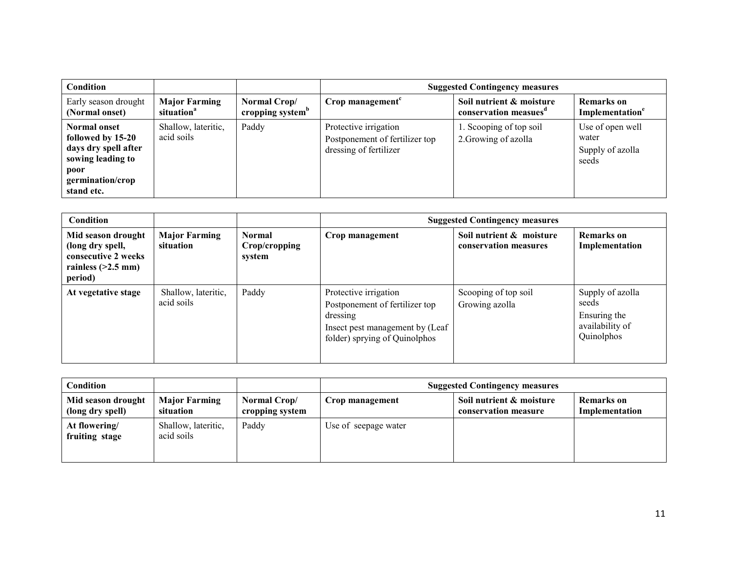| Condition                                                                                                                |                                                |                                              | <b>Suggested Contingency measures</b>                                             |                                                               |                                                        |
|--------------------------------------------------------------------------------------------------------------------------|------------------------------------------------|----------------------------------------------|-----------------------------------------------------------------------------------|---------------------------------------------------------------|--------------------------------------------------------|
| Early season drought<br>(Normal onset)                                                                                   | <b>Major Farming</b><br>situation <sup>a</sup> | Normal Crop/<br>cropping system <sup>b</sup> | Crop management <sup>c</sup>                                                      | Soil nutrient & moisture<br>conservation measues <sup>a</sup> | Remarks on<br>Implementation <sup>e</sup>              |
| Normal onset<br>followed by 15-20<br>days dry spell after<br>sowing leading to<br>poor<br>germination/crop<br>stand etc. | Shallow, lateritic,<br>acid soils              | Paddy                                        | Protective irrigation<br>Postponement of fertilizer top<br>dressing of fertilizer | 1. Scooping of top soil<br>2. Growing of azolla               | Use of open well<br>water<br>Supply of azolla<br>seeds |

| <b>Condition</b>                                                                                 |                                   |                                          | <b>Suggested Contingency measures</b>                                                                                                   |                                                   |                                                                            |
|--------------------------------------------------------------------------------------------------|-----------------------------------|------------------------------------------|-----------------------------------------------------------------------------------------------------------------------------------------|---------------------------------------------------|----------------------------------------------------------------------------|
| Mid season drought<br>(long dry spell,<br>consecutive 2 weeks<br>rainless $(>2.5$ mm)<br>period) | <b>Major Farming</b><br>situation | <b>Normal</b><br>Crop/cropping<br>system | Crop management                                                                                                                         | Soil nutrient & moisture<br>conservation measures | Remarks on<br>Implementation                                               |
| At vegetative stage                                                                              | Shallow, lateritic,<br>acid soils | Paddy                                    | Protective irrigation<br>Postponement of fertilizer top<br>dressing<br>Insect pest management by (Leaf<br>folder) sprying of Quinolphos | Scooping of top soil<br>Growing azolla            | Supply of azolla<br>seeds<br>Ensuring the<br>availability of<br>Quinolphos |

| <b>Condition</b>                       |                                   |                                 | <b>Suggested Contingency measures</b> |                                                  |                                     |
|----------------------------------------|-----------------------------------|---------------------------------|---------------------------------------|--------------------------------------------------|-------------------------------------|
| Mid season drought<br>(long dry spell) | <b>Major Farming</b><br>situation | Normal Crop/<br>cropping system | Crop management                       | Soil nutrient & moisture<br>conservation measure | <b>Remarks</b> on<br>Implementation |
| At flowering/<br>fruiting stage        | Shallow, lateritic,<br>acid soils | Paddy                           | Use of seepage water                  |                                                  |                                     |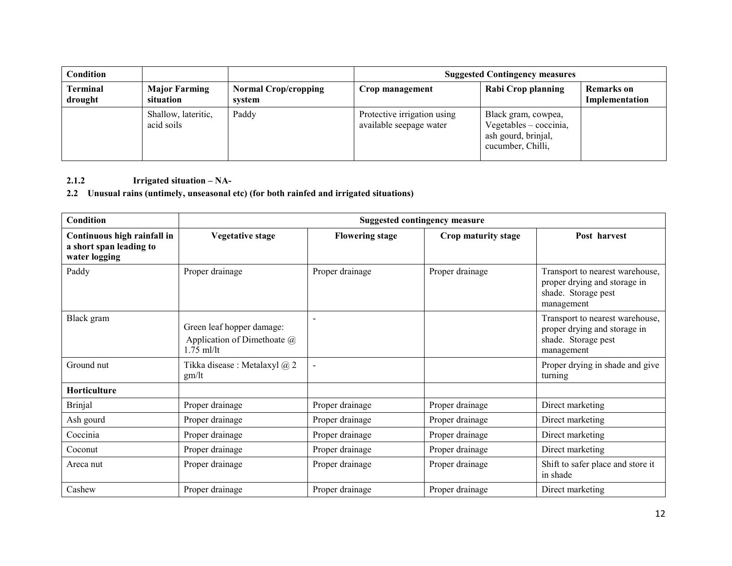| Condition                  |                                   |                                       | <b>Suggested Contingency measures</b>                  |                                                                                             |                              |
|----------------------------|-----------------------------------|---------------------------------------|--------------------------------------------------------|---------------------------------------------------------------------------------------------|------------------------------|
| <b>Terminal</b><br>drought | <b>Major Farming</b><br>situation | <b>Normal Crop/cropping</b><br>system | Crop management                                        | Rabi Crop planning                                                                          | Remarks on<br>Implementation |
|                            | Shallow, lateritic,<br>acid soils | Paddy                                 | Protective irrigation using<br>available seepage water | Black gram, cowpea,<br>$Vegetables - coccinia,$<br>ash gourd, brinjal,<br>cucumber, Chilli, |                              |

# 2.1.2 Irrigated situation – NA-

# 2.2 Unusual rains (untimely, unseasonal etc) (for both rainfed and irrigated situations)

| <b>Condition</b>                                                        | <b>Suggested contingency measure</b>                                            |                        |                     |                                                                                                      |  |
|-------------------------------------------------------------------------|---------------------------------------------------------------------------------|------------------------|---------------------|------------------------------------------------------------------------------------------------------|--|
| Continuous high rainfall in<br>a short span leading to<br>water logging | <b>Vegetative stage</b>                                                         | <b>Flowering stage</b> | Crop maturity stage | Post harvest                                                                                         |  |
| Paddy                                                                   | Proper drainage                                                                 | Proper drainage        | Proper drainage     | Transport to nearest warehouse,<br>proper drying and storage in<br>shade. Storage pest<br>management |  |
| Black gram                                                              | Green leaf hopper damage:<br>Application of Dimethoate $\omega$<br>$1.75$ ml/lt |                        |                     | Transport to nearest warehouse,<br>proper drying and storage in<br>shade. Storage pest<br>management |  |
| Ground nut                                                              | Tikka disease : Metalaxyl @ 2<br>gm/It                                          | $\sim$                 |                     | Proper drying in shade and give<br>turning                                                           |  |
| Horticulture                                                            |                                                                                 |                        |                     |                                                                                                      |  |
| <b>Brinjal</b>                                                          | Proper drainage                                                                 | Proper drainage        | Proper drainage     | Direct marketing                                                                                     |  |
| Ash gourd                                                               | Proper drainage                                                                 | Proper drainage        | Proper drainage     | Direct marketing                                                                                     |  |
| Coccinia                                                                | Proper drainage                                                                 | Proper drainage        | Proper drainage     | Direct marketing                                                                                     |  |
| Coconut                                                                 | Proper drainage                                                                 | Proper drainage        | Proper drainage     | Direct marketing                                                                                     |  |
| Areca nut                                                               | Proper drainage                                                                 | Proper drainage        | Proper drainage     | Shift to safer place and store it<br>in shade                                                        |  |
| Cashew                                                                  | Proper drainage                                                                 | Proper drainage        | Proper drainage     | Direct marketing                                                                                     |  |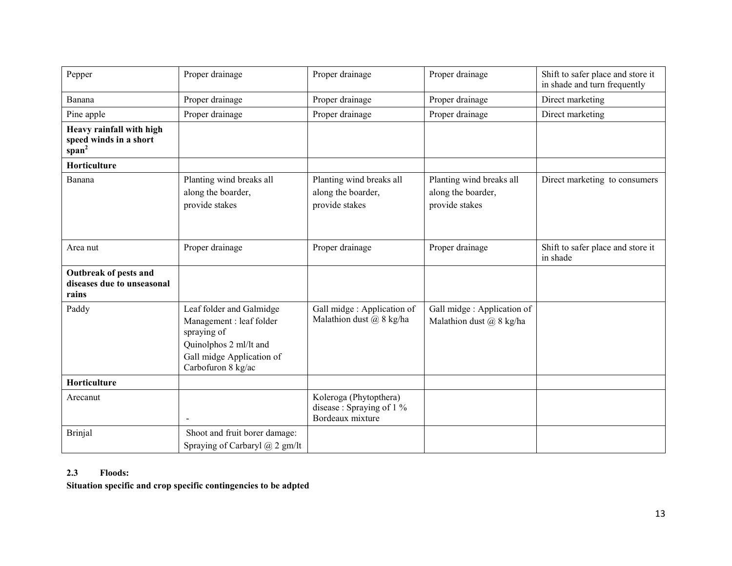| Pepper                                                                  | Proper drainage                                                                                                                                  | Proper drainage                                                         | Proper drainage                                                  | Shift to safer place and store it<br>in shade and turn frequently |
|-------------------------------------------------------------------------|--------------------------------------------------------------------------------------------------------------------------------------------------|-------------------------------------------------------------------------|------------------------------------------------------------------|-------------------------------------------------------------------|
| Banana                                                                  | Proper drainage                                                                                                                                  | Proper drainage                                                         | Proper drainage                                                  | Direct marketing                                                  |
| Pine apple                                                              | Proper drainage                                                                                                                                  | Proper drainage                                                         | Proper drainage                                                  | Direct marketing                                                  |
| Heavy rainfall with high<br>speed winds in a short<br>span <sup>2</sup> |                                                                                                                                                  |                                                                         |                                                                  |                                                                   |
| Horticulture                                                            |                                                                                                                                                  |                                                                         |                                                                  |                                                                   |
| Banana                                                                  | Planting wind breaks all<br>along the boarder,<br>provide stakes                                                                                 | Planting wind breaks all<br>along the boarder,<br>provide stakes        | Planting wind breaks all<br>along the boarder,<br>provide stakes | Direct marketing to consumers                                     |
| Area nut                                                                | Proper drainage                                                                                                                                  | Proper drainage                                                         | Proper drainage                                                  | Shift to safer place and store it<br>in shade                     |
| Outbreak of pests and<br>diseases due to unseasonal<br>rains            |                                                                                                                                                  |                                                                         |                                                                  |                                                                   |
| Paddy                                                                   | Leaf folder and Galmidge<br>Management : leaf folder<br>spraying of<br>Quinolphos 2 ml/lt and<br>Gall midge Application of<br>Carbofuron 8 kg/ac | Gall midge : Application of<br>Malathion dust $(a)$ 8 kg/ha             | Gall midge : Application of<br>Malathion dust $(a)$ 8 kg/ha      |                                                                   |
| Horticulture                                                            |                                                                                                                                                  |                                                                         |                                                                  |                                                                   |
| Arecanut                                                                |                                                                                                                                                  | Koleroga (Phytopthera)<br>disease : Spraying of 1 %<br>Bordeaux mixture |                                                                  |                                                                   |
| <b>Brinjal</b>                                                          | Shoot and fruit borer damage:<br>Spraying of Carbaryl $(a)$ 2 gm/lt                                                                              |                                                                         |                                                                  |                                                                   |

# 2.3 Floods:

Situation specific and crop specific contingencies to be adpted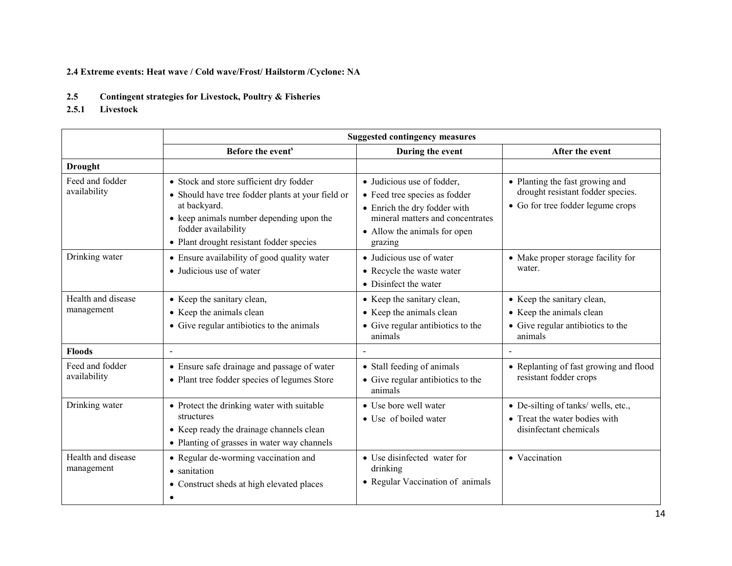# 2.4 Extreme events: Heat wave / Cold wave/Frost/ Hailstorm /Cyclone: NA

- 2.52.5 Contingent strategies for Livestock, Poultry & Fisheries<br>2.5.1 Livestock
- Livestock

|                                  | <b>Suggested contingency measures</b>                                                                                                                                                                                       |                                                                                                                                                                            |                                                                                                           |  |  |
|----------------------------------|-----------------------------------------------------------------------------------------------------------------------------------------------------------------------------------------------------------------------------|----------------------------------------------------------------------------------------------------------------------------------------------------------------------------|-----------------------------------------------------------------------------------------------------------|--|--|
|                                  | Before the event <sup>s</sup>                                                                                                                                                                                               | During the event                                                                                                                                                           | After the event                                                                                           |  |  |
| <b>Drought</b>                   |                                                                                                                                                                                                                             |                                                                                                                                                                            |                                                                                                           |  |  |
| Feed and fodder<br>availability  | • Stock and store sufficient dry fodder<br>• Should have tree fodder plants at your field or<br>at backyard.<br>• keep animals number depending upon the<br>fodder availability<br>• Plant drought resistant fodder species | • Judicious use of fodder,<br>• Feed tree species as fodder<br>• Enrich the dry fodder with<br>mineral matters and concentrates<br>• Allow the animals for open<br>grazing | • Planting the fast growing and<br>drought resistant fodder species.<br>• Go for tree fodder legume crops |  |  |
| Drinking water                   | • Ensure availability of good quality water<br>• Judicious use of water                                                                                                                                                     | • Judicious use of water<br>• Recycle the waste water<br>• Disinfect the water                                                                                             | • Make proper storage facility for<br>water.                                                              |  |  |
| Health and disease<br>management | • Keep the sanitary clean,<br>• Keep the animals clean<br>• Give regular antibiotics to the animals                                                                                                                         | • Keep the sanitary clean,<br>• Keep the animals clean<br>• Give regular antibiotics to the<br>animals                                                                     | • Keep the sanitary clean,<br>• Keep the animals clean<br>• Give regular antibiotics to the<br>animals    |  |  |
| <b>Floods</b>                    | $\sim$                                                                                                                                                                                                                      | $\blacksquare$                                                                                                                                                             |                                                                                                           |  |  |
| Feed and fodder<br>availability  | • Ensure safe drainage and passage of water<br>• Plant tree fodder species of legumes Store                                                                                                                                 | • Stall feeding of animals<br>• Give regular antibiotics to the<br>animals                                                                                                 | • Replanting of fast growing and flood<br>resistant fodder crops                                          |  |  |
| Drinking water                   | • Protect the drinking water with suitable<br>structures<br>• Keep ready the drainage channels clean<br>• Planting of grasses in water way channels                                                                         | • Use bore well water<br>• Use of boiled water                                                                                                                             | • De-silting of tanks/ wells, etc.,<br>• Treat the water bodies with<br>disinfectant chemicals            |  |  |
| Health and disease<br>management | • Regular de-worming vaccination and<br>• sanitation<br>• Construct sheds at high elevated places<br>$\bullet$                                                                                                              | • Use disinfected water for<br>drinking<br>• Regular Vaccination of animals                                                                                                | • Vaccination                                                                                             |  |  |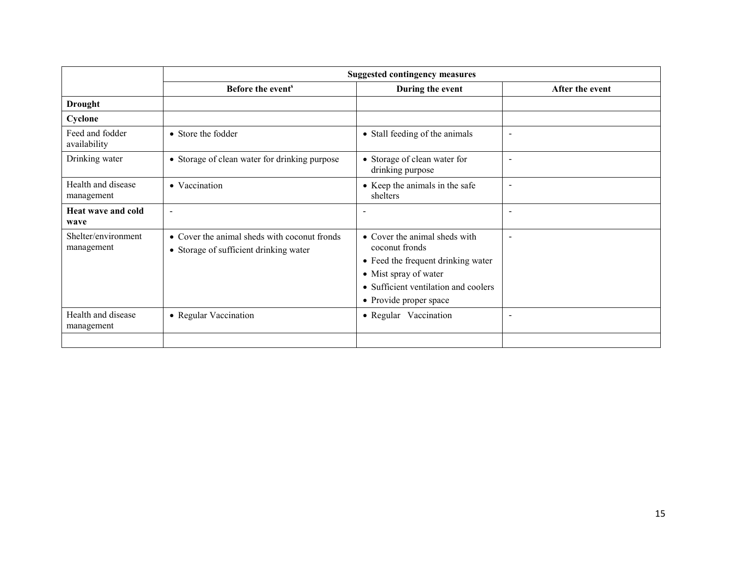|                                   | <b>Suggested contingency measures</b>                                                  |                                                                                                                                                                                  |                          |  |  |
|-----------------------------------|----------------------------------------------------------------------------------------|----------------------------------------------------------------------------------------------------------------------------------------------------------------------------------|--------------------------|--|--|
|                                   | Before the event <sup>s</sup>                                                          | During the event                                                                                                                                                                 | After the event          |  |  |
| <b>Drought</b>                    |                                                                                        |                                                                                                                                                                                  |                          |  |  |
| Cyclone                           |                                                                                        |                                                                                                                                                                                  |                          |  |  |
| Feed and fodder<br>availability   | • Store the fodder                                                                     | • Stall feeding of the animals                                                                                                                                                   |                          |  |  |
| Drinking water                    | • Storage of clean water for drinking purpose                                          | • Storage of clean water for<br>drinking purpose                                                                                                                                 |                          |  |  |
| Health and disease<br>management  | • Vaccination                                                                          | • Keep the animals in the safe<br>shelters                                                                                                                                       |                          |  |  |
| Heat wave and cold<br>wave        | $\blacksquare$                                                                         |                                                                                                                                                                                  |                          |  |  |
| Shelter/environment<br>management | • Cover the animal sheds with coconut fronds<br>• Storage of sufficient drinking water | • Cover the animal sheds with<br>coconut fronds<br>• Feed the frequent drinking water<br>• Mist spray of water<br>• Sufficient ventilation and coolers<br>• Provide proper space |                          |  |  |
| Health and disease<br>management  | • Regular Vaccination                                                                  | • Regular Vaccination                                                                                                                                                            | $\overline{\phantom{0}}$ |  |  |
|                                   |                                                                                        |                                                                                                                                                                                  |                          |  |  |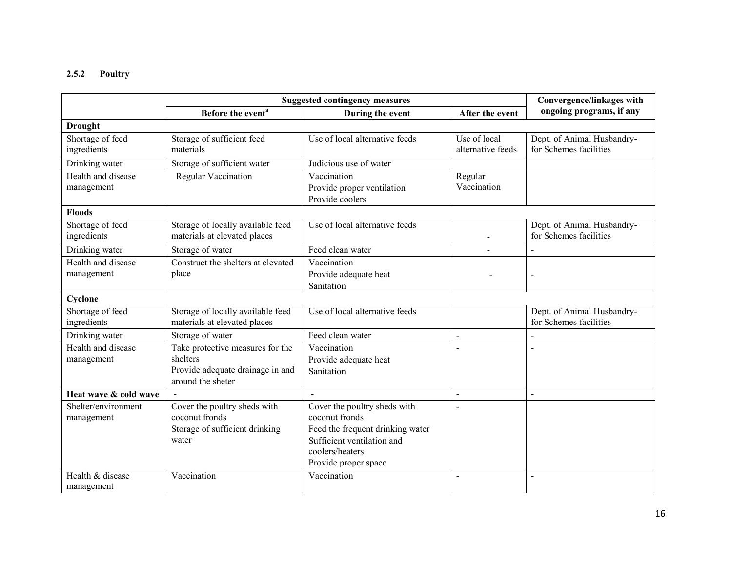# 2.5.2 Poultry

|                                   | <b>Suggested contingency measures</b>                                                                 | Convergence/linkages with                                                                                                                                   |                                   |                                                      |
|-----------------------------------|-------------------------------------------------------------------------------------------------------|-------------------------------------------------------------------------------------------------------------------------------------------------------------|-----------------------------------|------------------------------------------------------|
|                                   | Before the event <sup>a</sup>                                                                         | During the event                                                                                                                                            | After the event                   | ongoing programs, if any                             |
| <b>Drought</b>                    |                                                                                                       |                                                                                                                                                             |                                   |                                                      |
| Shortage of feed<br>ingredients   | Storage of sufficient feed<br>materials                                                               | Use of local alternative feeds                                                                                                                              | Use of local<br>alternative feeds | Dept. of Animal Husbandry-<br>for Schemes facilities |
| Drinking water                    | Storage of sufficient water                                                                           | Judicious use of water                                                                                                                                      |                                   |                                                      |
| Health and disease<br>management  | <b>Regular Vaccination</b>                                                                            | Vaccination<br>Provide proper ventilation<br>Provide coolers                                                                                                | Regular<br>Vaccination            |                                                      |
| <b>Floods</b>                     |                                                                                                       |                                                                                                                                                             |                                   |                                                      |
| Shortage of feed<br>ingredients   | Storage of locally available feed<br>materials at elevated places                                     | Use of local alternative feeds                                                                                                                              |                                   | Dept. of Animal Husbandry-<br>for Schemes facilities |
| Drinking water                    | Storage of water                                                                                      | Feed clean water                                                                                                                                            |                                   |                                                      |
| Health and disease<br>management  | Construct the shelters at elevated<br>place                                                           | Vaccination<br>Provide adequate heat<br>Sanitation                                                                                                          |                                   | $\overline{a}$                                       |
| Cyclone                           |                                                                                                       |                                                                                                                                                             |                                   |                                                      |
| Shortage of feed<br>ingredients   | Storage of locally available feed<br>materials at elevated places                                     | Use of local alternative feeds                                                                                                                              |                                   | Dept. of Animal Husbandry-<br>for Schemes facilities |
| Drinking water                    | Storage of water                                                                                      | Feed clean water                                                                                                                                            | $\overline{a}$                    |                                                      |
| Health and disease<br>management  | Take protective measures for the<br>shelters<br>Provide adequate drainage in and<br>around the sheter | Vaccination<br>Provide adequate heat<br>Sanitation                                                                                                          |                                   |                                                      |
| Heat wave & cold wave             |                                                                                                       |                                                                                                                                                             |                                   | $\blacksquare$                                       |
| Shelter/environment<br>management | Cover the poultry sheds with<br>coconut fronds<br>Storage of sufficient drinking<br>water             | Cover the poultry sheds with<br>coconut fronds<br>Feed the frequent drinking water<br>Sufficient ventilation and<br>coolers/heaters<br>Provide proper space | $\overline{a}$                    |                                                      |
| Health & disease<br>management    | Vaccination                                                                                           | Vaccination                                                                                                                                                 | $\blacksquare$                    | $\blacksquare$                                       |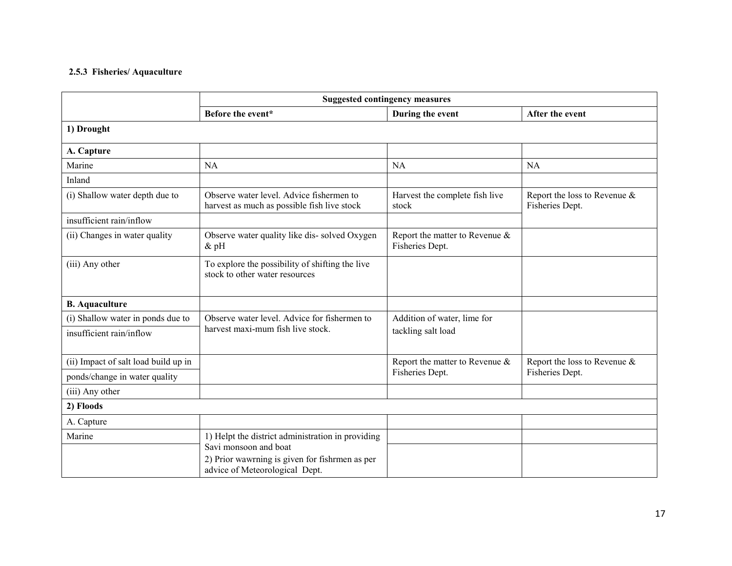# 2.5.3 Fisheries/ Aquaculture

|                                      | <b>Suggested contingency measures</b>                                                   |                                                      |                                                 |
|--------------------------------------|-----------------------------------------------------------------------------------------|------------------------------------------------------|-------------------------------------------------|
|                                      | Before the event*                                                                       | During the event                                     | After the event                                 |
| 1) Drought                           |                                                                                         |                                                      |                                                 |
| A. Capture                           |                                                                                         |                                                      |                                                 |
| Marine                               | <b>NA</b>                                                                               | <b>NA</b>                                            | <b>NA</b>                                       |
| Inland                               |                                                                                         |                                                      |                                                 |
| (i) Shallow water depth due to       | Observe water level. Advice fishermen to<br>harvest as much as possible fish live stock | Harvest the complete fish live<br>stock              | Report the loss to Revenue &<br>Fisheries Dept. |
| insufficient rain/inflow             |                                                                                         |                                                      |                                                 |
| (ii) Changes in water quality        | Observe water quality like dis-solved Oxygen<br>$\&$ pH                                 | Report the matter to Revenue $\&$<br>Fisheries Dept. |                                                 |
| (iii) Any other                      | To explore the possibility of shifting the live<br>stock to other water resources       |                                                      |                                                 |
| <b>B.</b> Aquaculture                |                                                                                         |                                                      |                                                 |
| (i) Shallow water in ponds due to    | Observe water level. Advice for fishermen to                                            | Addition of water, lime for                          |                                                 |
| insufficient rain/inflow             | harvest maxi-mum fish live stock.                                                       | tackling salt load                                   |                                                 |
| (ii) Impact of salt load build up in |                                                                                         | Report the matter to Revenue $\&$                    | Report the loss to Revenue $\&$                 |
| ponds/change in water quality        |                                                                                         | Fisheries Dept.                                      | Fisheries Dept.                                 |
| (iii) Any other                      |                                                                                         |                                                      |                                                 |
| 2) Floods                            |                                                                                         |                                                      |                                                 |
| A. Capture                           |                                                                                         |                                                      |                                                 |
| Marine                               | 1) Helpt the district administration in providing<br>Savi monsoon and boat              |                                                      |                                                 |
|                                      | 2) Prior wawrning is given for fishrmen as per<br>advice of Meteorological Dept.        |                                                      |                                                 |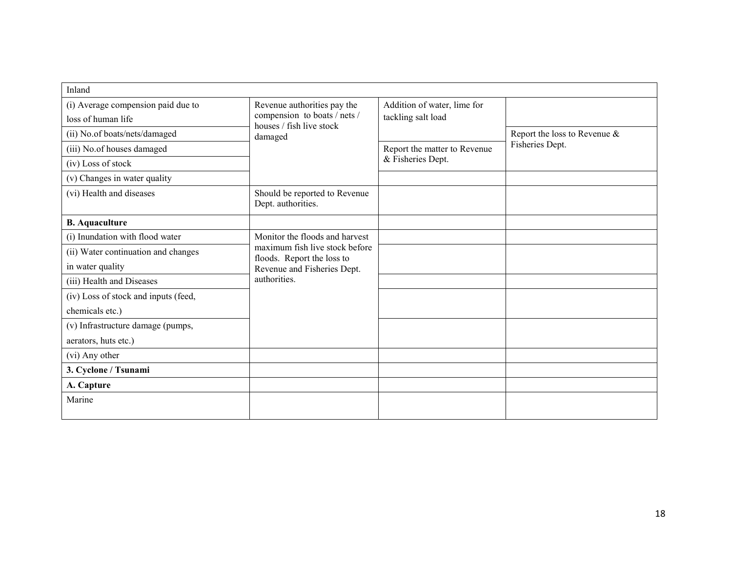| Inland                               |                                                                                                    |                                                   |                                                    |
|--------------------------------------|----------------------------------------------------------------------------------------------------|---------------------------------------------------|----------------------------------------------------|
| (i) Average compension paid due to   | Revenue authorities pay the<br>compension to boats / nets /<br>houses / fish live stock<br>damaged | Addition of water, lime for<br>tackling salt load |                                                    |
| loss of human life                   |                                                                                                    |                                                   |                                                    |
| (ii) No.of boats/nets/damaged        |                                                                                                    |                                                   | Report the loss to Revenue $\&$<br>Fisheries Dept. |
| (iii) No.of houses damaged           |                                                                                                    | Report the matter to Revenue<br>& Fisheries Dept. |                                                    |
| (iv) Loss of stock                   |                                                                                                    |                                                   |                                                    |
| (v) Changes in water quality         |                                                                                                    |                                                   |                                                    |
| (vi) Health and diseases             | Should be reported to Revenue<br>Dept. authorities.                                                |                                                   |                                                    |
| <b>B.</b> Aquaculture                |                                                                                                    |                                                   |                                                    |
| (i) Inundation with flood water      | Monitor the floods and harvest                                                                     |                                                   |                                                    |
| (ii) Water continuation and changes  | maximum fish live stock before<br>floods. Report the loss to<br>Revenue and Fisheries Dept.        |                                                   |                                                    |
| in water quality                     |                                                                                                    |                                                   |                                                    |
| (iii) Health and Diseases            | authorities.                                                                                       |                                                   |                                                    |
| (iv) Loss of stock and inputs (feed, |                                                                                                    |                                                   |                                                    |
| chemicals etc.)                      |                                                                                                    |                                                   |                                                    |
| (v) Infrastructure damage (pumps,    |                                                                                                    |                                                   |                                                    |
| aerators, huts etc.)                 |                                                                                                    |                                                   |                                                    |
| (vi) Any other                       |                                                                                                    |                                                   |                                                    |
| 3. Cyclone / Tsunami                 |                                                                                                    |                                                   |                                                    |
| A. Capture                           |                                                                                                    |                                                   |                                                    |
| Marine                               |                                                                                                    |                                                   |                                                    |
|                                      |                                                                                                    |                                                   |                                                    |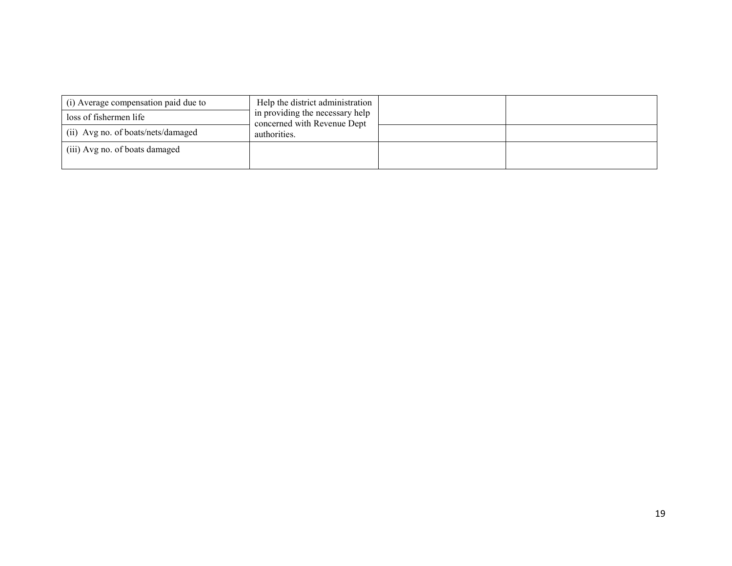| (i) Average compensation paid due to | Help the district administration                               |  |
|--------------------------------------|----------------------------------------------------------------|--|
| loss of fishermen life               | in providing the necessary help<br>concerned with Revenue Dept |  |
| (ii) Avg no. of boats/nets/damaged   | authorities.                                                   |  |
| (iii) Avg no. of boats damaged       |                                                                |  |
|                                      |                                                                |  |